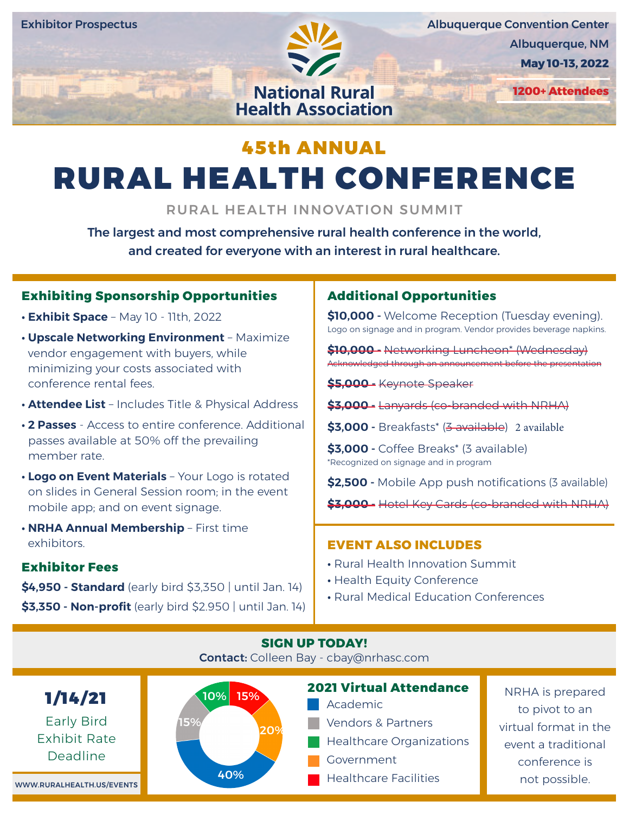

Albuquerque Convention Center Albuquerque, NM

**May 10-13, 2022**

**1200+ Attendees**

## 45th ANNUAL **SERVICES CORPORATION**

**SERVICES CORPORATION** 

# RURAL HEALTH CONFERENCE

RURAL HEALTH INNOVATION SUMMIT

The largest and most comprehensive rural health conference in the world, and created for everyone with an interest in rural healthcare.

## **Exhibiting Sponsorship Opportunities**

- **• Exhibit Space** May 10 11th, 2022
- **• Upscale Networking Environment** Maximize vendor engagement with buyers, while minimizing your costs associated with conference rental fees.
- **• Attendee List** Includes Title & Physical Address
- **• 2 Passes** Access to entire conference. Additional passes available at 50% off the prevailing member rate.
- **• Logo on Event Materials** Your Logo is rotated on slides in General Session room; in the event mobile app; and on event signage.
- **• NRHA Annual Membership** First time exhibitors.

## **Exhibitor Fees**

**\$4,950 - Standard** (early bird \$3,350 | until Jan. 14) **\$3,350 - Non-profit** (early bird \$2.950 | until Jan. 14)

## **Additional Opportunities**

**\$10,000 -** Welcome Reception (Tuesday evening). Logo on signage and in program. Vendor provides beverage napkins.

**\$10,000 -** Networking Luncheon\* (Wednesday) Acknowledged through an announcement before the presentation

**\$5,000 -** Keynote Speaker

**\$3,000 -** Lanyards (co-branded with NRHA)

**\$3,000 -** Breakfasts\* (3 available) 2 available

**\$3,000 -** Coffee Breaks\* (3 available) \*Recognized on signage and in program

**\$2,500 -** Mobile App push notifications (3 available)

**\$3,000 -** Hotel Key Cards (co-branded with NRHA)

## **EVENT ALSO INCLUDES**

- **•** Rural Health Innovation Summit
- **•** Health Equity Conference
- **•** Rural Medical Education Conferences